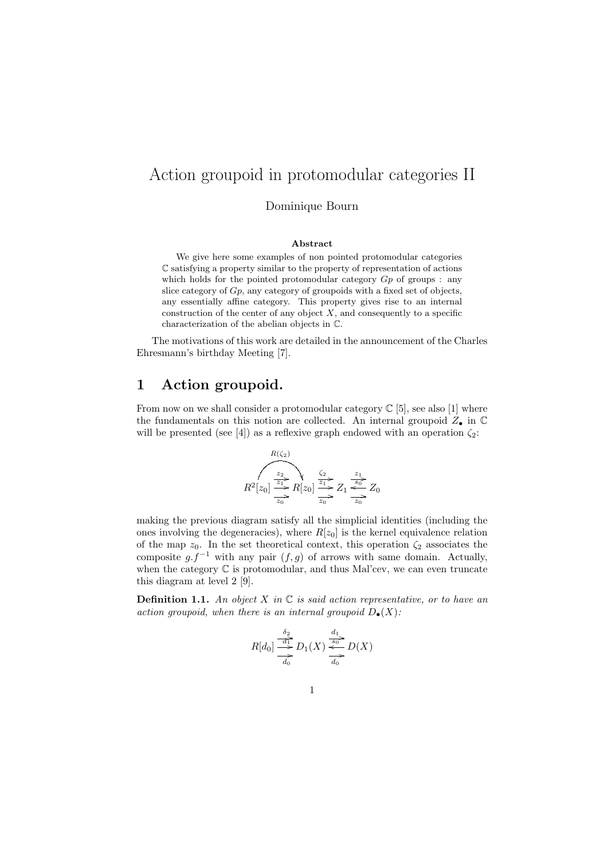# Action groupoid in protomodular categories II

Dominique Bourn

#### Abstract

We give here some examples of non pointed protomodular categories C satisfying a property similar to the property of representation of actions which holds for the pointed protomodular category  $G_p$  of groups : any slice category of Gp, any category of groupoids with a fixed set of objects, any essentially affine category. This property gives rise to an internal construction of the center of any object  $X$ , and consequently to a specific characterization of the abelian objects in C.

The motivations of this work are detailed in the announcement of the Charles Ehresmann's birthday Meeting [7].

### 1 Action groupoid.

From now on we shall consider a protomodular category  $\mathbb{C}$  [5], see also [1] where the fundamentals on this notion are collected. An internal groupoid  $Z_{\bullet}$  in  $\mathbb C$ will be presented (see [4]) as a reflexive graph endowed with an operation  $\zeta_2$ :

$$
R(z_2)
$$
\n
$$
R2[z_0] \xrightarrow{z_2} R[z_0] \xrightarrow{z_1} Z_1 \xrightarrow{z_2} Z_0
$$
\n
$$
R2[z_0] \xrightarrow{z_1} R[z_0] \xrightarrow{z_2} Z_0
$$

making the previous diagram satisfy all the simplicial identities (including the ones involving the degeneracies), where  $R[z_0]$  is the kernel equivalence relation of the map  $z_0$ . In the set theoretical context, this operation  $\zeta_2$  associates the composite  $g.f^{-1}$  with any pair  $(f, g)$  of arrows with same domain. Actually, when the category  $\mathbb C$  is protomodular, and thus Mal'cev, we can even truncate this diagram at level 2 [9].

**Definition 1.1.** An object X in  $\mathbb C$  is said action representative, or to have an action groupoid, when there is an internal groupoid  $D_{\bullet}(X)$ :

$$
R[d_0] \stackrel{\delta_2}{\underset{d_0}{\longrightarrow}} D_1(X) \stackrel{\frac{d_1}{\underset{f_0}{\longrightarrow}}}{\underset{d_0}{\longrightarrow}} D(X)
$$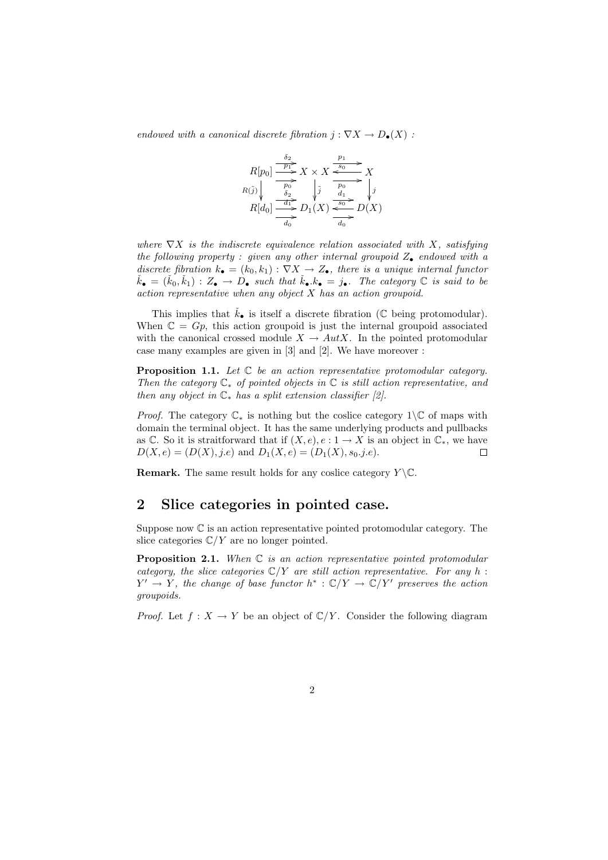endowed with a canonical discrete fibration  $j : \nabla X \to D_{\bullet}(X)$ :

$$
R[p_0] \xrightarrow{\overbrace{p_1}^{p_2}} X \times X \xrightarrow{\overbrace{p_0}^{p_1}} X
$$
  
\n
$$
R(\tilde{j}) \Big\downarrow_{\substack{\overline{p_0} \\ \overline{d_2} \\ \overline{d_1}}} \Big\downarrow_{\widetilde{j}} \xrightarrow{\overbrace{p_0}^{p_0}} X \Big\downarrow_{\widetilde{j}} \Big\downarrow_{\widetilde{d_1}} \Big\downarrow_{\widetilde{f}} X
$$
  
\n
$$
R[d_0] \xrightarrow{\overbrace{d_1}^{p_1}} D_1(X) \xrightarrow{\overbrace{d_0}^{g_0}} D(X)
$$

where  $\nabla X$  is the indiscrete equivalence relation associated with X, satisfying the following property : given any other internal groupoid  $Z_{\bullet}$  endowed with a discrete fibration  $k_{\bullet} = (k_0, k_1) : \nabla X \to Z_{\bullet}$ , there is a unique internal functor  $\check{k}_{\bullet} = (\check{k}_0, \check{k}_1) : Z_{\bullet} \to D_{\bullet}$  such that  $\check{k}_{\bullet}.k_{\bullet} = j_{\bullet}$ . The category  $\mathbb C$  is said to be action representative when any object X has an action groupoid.

This implies that  $\dot{k}_{\bullet}$  is itself a discrete fibration (C being protomodular). When  $\mathbb{C} = Gp$ , this action groupoid is just the internal groupoid associated with the canonical crossed module  $X \to AutX$ . In the pointed protomodular case many examples are given in [3] and [2]. We have moreover :

**Proposition 1.1.** Let  $C$  be an action representative protomodular category. Then the category  $\mathbb{C}_*$  of pointed objects in  $\mathbb C$  is still action representative, and then any object in  $\mathbb{C}_*$  has a split extension classifier [2].

*Proof.* The category  $\mathbb{C}_*$  is nothing but the coslice category 1\ $\mathbb{C}$  of maps with domain the terminal object. It has the same underlying products and pullbacks as C. So it is straitforward that if  $(X, e), e : 1 \to X$  is an object in  $\mathbb{C}_*$ , we have  $D(X, e) = (D(X), j.e)$  and  $D_1(X, e) = (D_1(X), s_0.j.e).$  $\Box$ 

**Remark.** The same result holds for any coslice category  $Y \setminus \mathbb{C}$ .

### 2 Slice categories in pointed case.

Suppose now C is an action representative pointed protomodular category. The slice categories  $\mathbb{C}/Y$  are no longer pointed.

**Proposition 2.1.** When  $C$  is an action representative pointed protomodular category, the slice categories  $\mathbb{C}/Y$  are still action representative. For any h:  $Y' \to Y$ , the change of base functor  $h^* : \mathbb{C}/Y \to \mathbb{C}/Y'$  preserves the action groupoids.

*Proof.* Let  $f: X \to Y$  be an object of  $\mathbb{C}/Y$ . Consider the following diagram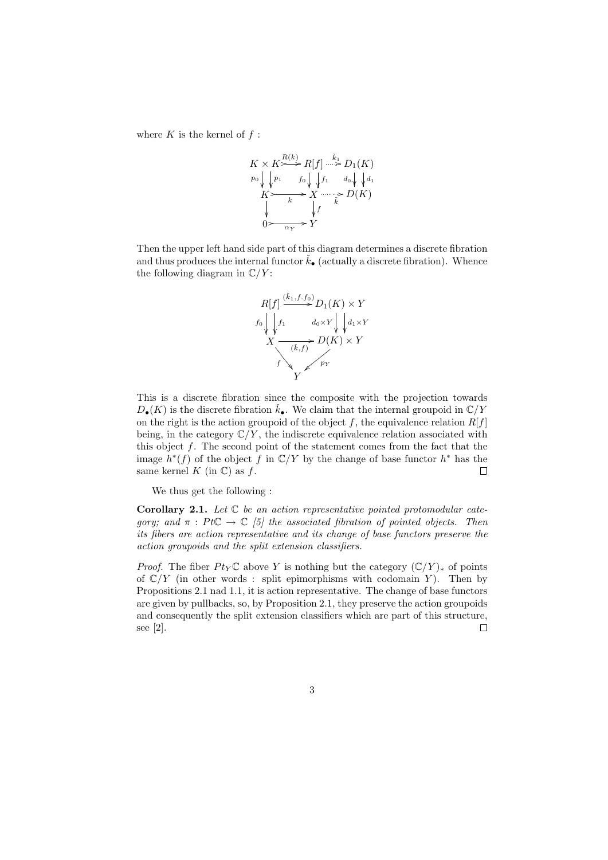where  $K$  is the kernel of  $f$ :

$$
K \times K \xrightarrow{R(k)} R[f] \xrightarrow{\tilde{k}_1} D_1(K)
$$
  
\n
$$
p_0 \downarrow \downarrow p_1 \qquad f_0 \downarrow \downarrow f_1 \qquad d_0 \downarrow \downarrow d_1
$$
  
\n
$$
K \xrightarrow{\phantom{K}} X \xrightarrow{\phantom{K}} D(K)
$$
  
\n
$$
\downarrow f \qquad \downarrow
$$
  
\n
$$
0 \xrightarrow{\phantom{K}} Y
$$

Then the upper left hand side part of this diagram determines a discrete fibration and thus produces the internal functor  $\dot{k}_{\bullet}$  (actually a discrete fibration). Whence the following diagram in  $\mathbb{C}/Y$ :



This is a discrete fibration since the composite with the projection towards  $D_{\bullet}(K)$  is the discrete fibration  $\check{k}_{\bullet}$ . We claim that the internal groupoid in  $\mathbb{C}/Y$ on the right is the action groupoid of the object f, the equivalence relation  $R[f]$ being, in the category  $\mathbb{C}/Y$ , the indiscrete equivalence relation associated with this object f. The second point of the statement comes from the fact that the image  $h^*(f)$  of the object f in  $\mathbb{C}/Y$  by the change of base functor  $h^*$  has the same kernel  $K$  (in  $\mathbb{C}$ ) as  $f$ . П

We thus get the following :

**Corollary 2.1.** Let  $\mathbb C$  be an action representative pointed protomodular category; and  $\pi$ : PtC  $\rightarrow$  C [5] the associated fibration of pointed objects. Then its fibers are action representative and its change of base functors preserve the action groupoids and the split extension classifiers.

*Proof.* The fiber  $Pt_Y \mathbb{C}$  above Y is nothing but the category  $(\mathbb{C}/Y)_*$  of points of  $\mathbb{C}/Y$  (in other words : split epimorphisms with codomain Y). Then by Propositions 2.1 nad 1.1, it is action representative. The change of base functors are given by pullbacks, so, by Proposition 2.1, they preserve the action groupoids and consequently the split extension classifiers which are part of this structure, see [2].  $\Box$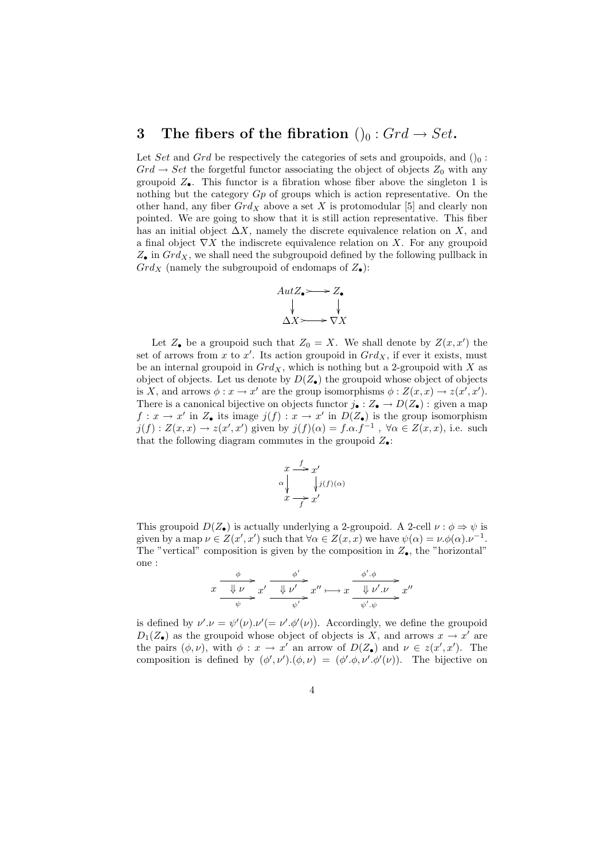### 3 The fibers of the fibration  $()_0 : Grd \rightarrow Set$ .

Let Set and Grd be respectively the categories of sets and groupoids, and  $()_0$ :  $Grd \rightarrow Set$  the forgetful functor associating the object of objects  $Z_0$  with any groupoid  $Z_{\bullet}$ . This functor is a fibration whose fiber above the singleton 1 is nothing but the category  $G_p$  of groups which is action representative. On the other hand, any fiber  $Grd_X$  above a set X is protomodular [5] and clearly non pointed. We are going to show that it is still action representative. This fiber has an initial object  $\Delta X$ , namely the discrete equivalence relation on X, and a final object  $\nabla X$  the indiscrete equivalence relation on X. For any groupoid  $Z_{\bullet}$  in  $Grd_X$ , we shall need the subgroupoid defined by the following pullback in  $Grd_X$  (namely the subgroupoid of endomaps of  $Z_{\bullet}$ ):



Let  $Z_{\bullet}$  be a groupoid such that  $Z_0 = X$ . We shall denote by  $Z(x, x')$  the set of arrows from x to x'. Its action groupoid in  $Grd_X$ , if ever it exists, must be an internal groupoid in  $Grd_X$ , which is nothing but a 2-groupoid with X as object of objects. Let us denote by  $D(Z_{\bullet})$  the groupoid whose object of objects is X, and arrows  $\phi: x \to x'$  are the group isomorphisms  $\phi: Z(x,x) \to z(x',x')$ . There is a canonical bijective on objects functor  $j_{\bullet}: Z_{\bullet} \to D(Z_{\bullet})$ : given a map  $f: x \to x'$  in  $Z_{\bullet}$  its image  $j(f): x \to x'$  in  $D(Z_{\bullet})$  is the group isomorphism  $j(f): Z(x,x) \to z(x',x')$  given by  $j(f)(\alpha) = f.\alpha.f^{-1}$ ,  $\forall \alpha \in Z(x,x)$ , i.e. such that the following diagram commutes in the groupoid  $Z_{\bullet}$ :

$$
x \xrightarrow{\text{f}} x'
$$
  
\n
$$
\alpha \downarrow \qquad \qquad \downarrow j(f)(\alpha)
$$
  
\n
$$
x \xrightarrow{\text{f}} x'
$$

This groupoid  $D(Z_{\bullet})$  is actually underlying a 2-groupoid. A 2-cell  $\nu : \phi \Rightarrow \psi$  is given by a map  $\nu \in Z(x', x')$  such that  $\forall \alpha \in Z(x, x)$  we have  $\psi(\alpha) = \nu \phi(\alpha) . \nu^{-1}$ . The "vertical" composition is given by the composition in  $Z_{\bullet}$ , the "horizontal" one :

$$
x \xrightarrow{\phi} x' \xrightarrow{\phi'} x' \xrightarrow{\psi'} x'' \longmapsto x \xrightarrow{\phi'.\phi} x''
$$

is defined by  $\nu' \cdot \nu = \psi'(\nu) \cdot \nu' = \nu' \cdot \phi'(\nu)$ . Accordingly, we define the groupoid  $D_1(Z_{\bullet})$  as the groupoid whose object of objects is X, and arrows  $x \to x'$  are the pairs  $(\phi, \nu)$ , with  $\phi: x \to x'$  an arrow of  $D(Z_{\bullet})$  and  $\nu \in z(x', x')$ . The composition is defined by  $(\phi', \nu') \cdot (\phi, \nu) = (\phi', \phi, \nu' \cdot \phi'(\nu))$ . The bijective on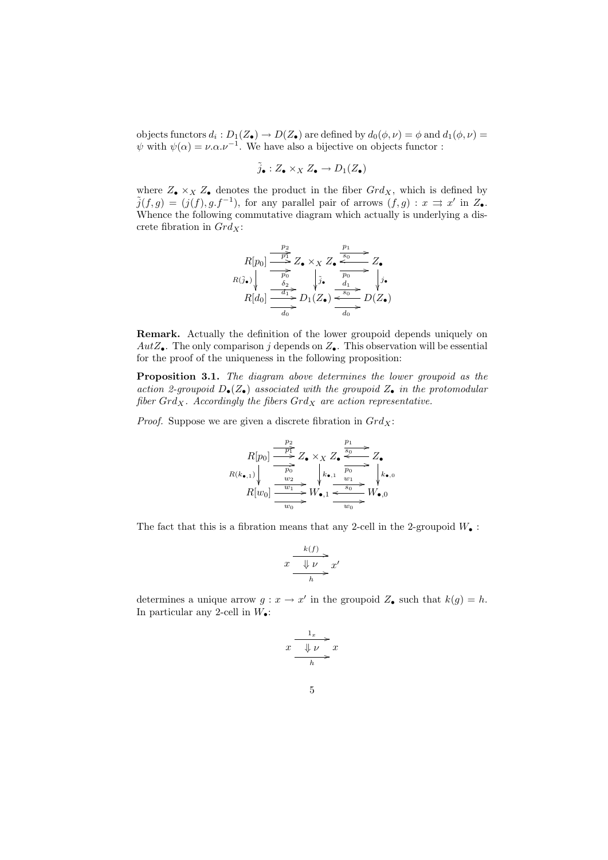objects functors  $d_i: D_1(Z_\bullet) \to D(Z_\bullet)$  are defined by  $d_0(\phi, \nu) = \phi$  and  $d_1(\phi, \nu) =$  $\psi$  with  $\psi(\alpha) = \nu \alpha \nu^{-1}$ . We have also a bijective on objects functor :

$$
\tilde{j}_\bullet:Z_\bullet\times_XZ_\bullet\to D_1(Z_\bullet)
$$

where  $Z_{\bullet} \times_X Z_{\bullet}$  denotes the product in the fiber  $Grd_X$ , which is defined by  $\tilde{j}(f,g) = (j(f), g.f^{-1})$ , for any parallel pair of arrows  $(f,g) : x \implies x'$  in  $Z_{\bullet}$ . Whence the following commutative diagram which actually is underlying a discrete fibration in  $Grd_X$ :

$$
R[p_0] \xrightarrow{\frac{p_2}{p_1}} Z_{\bullet} \times_X Z_{\bullet} \xrightarrow{\frac{p_1}{s_0} Z_{\bullet}} Z_{\bullet}
$$
  
\n
$$
R(\tilde{j}_{\bullet}) \downarrow \xrightarrow{\frac{\tilde{p}_0}{\tilde{b}_0}} \downarrow \tilde{j}_{\bullet} \xrightarrow{\frac{p_0}{\tilde{p}_0} Z_{\bullet}}
$$
  
\n
$$
R[d_0] \xrightarrow{\frac{d_1}{\tilde{b}_0}} D_1(Z_{\bullet}) \xrightarrow{\frac{s_0}{\tilde{b}_0}} D(Z_{\bullet})
$$

Remark. Actually the definition of the lower groupoid depends uniquely on  $AutZ_{\bullet}$ . The only comparison j depends on  $Z_{\bullet}$ . This observation will be essential for the proof of the uniqueness in the following proposition:

Proposition 3.1. The diagram above determines the lower groupoid as the action 2-groupoid  $D_{\bullet}(Z_{\bullet})$  associated with the groupoid  $Z_{\bullet}$  in the protomodular fiber  $Grd_X$ . Accordingly the fibers  $Grd_X$  are action representative.

*Proof.* Suppose we are given a discrete fibration in  $Grd_X$ :

$$
R[p_0] \xrightarrow{\frac{p_2}{p_1}} Z_{\bullet} \times_X Z_{\bullet} \xrightarrow{\frac{p_1}{s_0}} Z_{\bullet}
$$
  

$$
R(k_{\bullet,1}) \downarrow \xrightarrow{\frac{p_0}{p_0}} \downarrow k_{\bullet,1} \xrightarrow{\frac{p_0}{p_0}} \downarrow k_{\bullet,0}
$$
  

$$
R[w_0] \xrightarrow{\frac{w_1}{w_1}} W_{\bullet,1} \xrightarrow{\frac{w_1}{s_0}} W_{\bullet,0}
$$

The fact that this is a fibration means that any 2-cell in the 2-groupoid  $W_{\bullet}$ :

$$
x \xrightarrow{\begin{array}{c} k(f) \\ \hline \Downarrow \nu \\ h \end{array}} x'
$$

determines a unique arrow  $g: x \to x'$  in the groupoid  $Z_{\bullet}$  such that  $k(g) = h$ . In particular any 2-cell in  $W_{\bullet}$ :

$$
x \xrightarrow[\quad]{\begin{array}{c}\n1_x \\
\downarrow \nu \\
h\n\end{array}} x
$$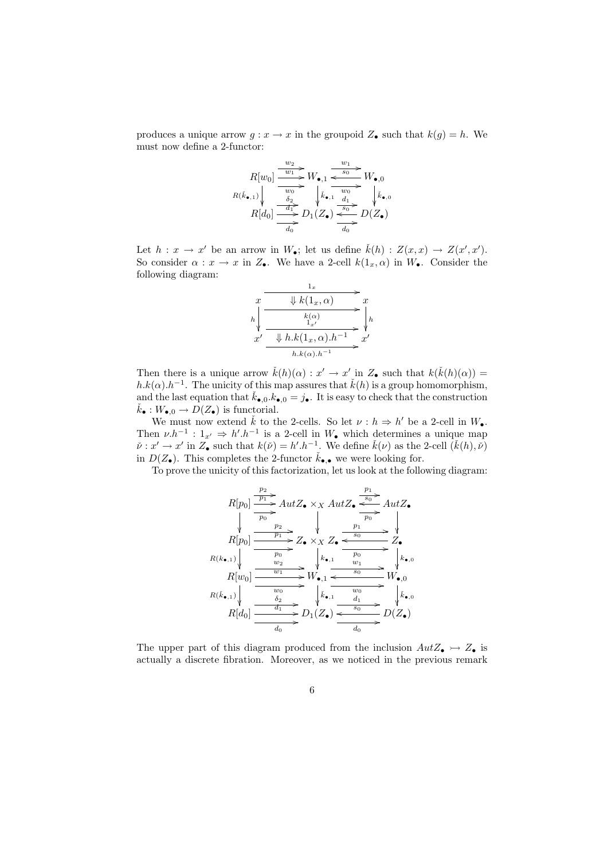produces a unique arrow  $g: x \to x$  in the groupoid  $Z_{\bullet}$  such that  $k(g) = h$ . We must now define a 2-functor:

$$
R[w_0] \xrightarrow{w_2} W_{\bullet,1} \xrightarrow{w_1} W_{\bullet,0}
$$
\n
$$
R(\vec{k}_{\bullet,1}) \downarrow \xrightarrow{\overline{w_0} \atop \delta_2} \downarrow \vec{k}_{\bullet,1} \xrightarrow{w_0} W_{\bullet,0}
$$
\n
$$
R[d_0] \xrightarrow{\overline{d_1} \atop \overline{d_0} \atop \overline{d_0}} D_1(Z_{\bullet}) \xrightarrow{\overline{s_0} \atop \overline{s_0} \atop \overline{d_0} \atop \overline{d_0}} D(Z_{\bullet})
$$

Let  $h: x \to x'$  be an arrow in  $W_{\bullet}$ ; let us define  $\check{k}(h): Z(x,x) \to Z(x',x')$ . So consider  $\alpha : x \to x$  in  $Z_{\bullet}$ . We have a 2-cell  $k(1_x, \alpha)$  in  $W_{\bullet}$ . Consider the following diagram:

$$
\begin{array}{ccc}\nx & \xrightarrow{\mathbf{1}_x} & x \\
\downarrow k(1_x, \alpha) & x \\
\downarrow k(1_x, \alpha) & \downarrow k \\
x' & \xrightarrow{\mathbf{k}(\alpha)} & x' \\
\hline\n& h.k(1_x, \alpha) \cdot h^{-1} & x' \\
& h.k(\alpha) \cdot h^{-1} & x'\n\end{array}
$$

Then there is a unique arrow  $\check{k}(h)(\alpha) : x' \to x'$  in  $Z_{\bullet}$  such that  $k(\check{k}(h)(\alpha)) =$  $h.k(\alpha) \cdot h^{-1}$ . The unicity of this map assures that  $\check{k}(h)$  is a group homomorphism, and the last equation that  $\check{k}_{\bullet,0} \cdot k_{\bullet,0} = j_{\bullet}$ . It is easy to check that the construction  $k_{\bullet}: W_{\bullet,0} \to D(Z_{\bullet})$  is functorial.

We must now extend  $\check{k}$  to the 2-cells. So let  $\nu : h \Rightarrow h'$  be a 2-cell in  $W_{\bullet}$ . Then  $\nu \cdot h^{-1}$ :  $1_{x'} \Rightarrow h' \cdot h^{-1}$  is a 2-cell in  $W_{\bullet}$  which determines a unique map  $\check{\nu}: x' \to x'$  in  $Z_{\bullet}$  such that  $k(\check{\nu}) = h'.h^{-1}$ . We define  $\check{k}(\nu)$  as the 2-cell  $(\check{k}(h), \check{\nu})$ in  $D(Z_{\bullet})$ . This completes the 2-functor  $\check{k}_{\bullet,\bullet}$  we were looking for.

To prove the unicity of this factorization, let us look at the following diagram:

$$
R[p_0] \xrightarrow{\frac{p_2}{p_1}} AutZ_{\bullet} \times_X AutZ_{\bullet} \xrightarrow{\frac{p_1}{p_0}} AutZ_{\bullet}
$$
\n
$$
R[p_0] \xrightarrow{\frac{p_2}{p_0}} Z_{\bullet} \times_X Z_{\bullet} \xrightarrow{\frac{p_1}{p_0}} Z_{\bullet}
$$
\n
$$
R(k_{\bullet,1}) \downarrow \xrightarrow{\frac{p_0}{p_0}} X_{\bullet,1} \xrightarrow{\frac{p_0}{p_0}} k_{\bullet,1} \xrightarrow{\frac{p_0}{p_0}} k_{\bullet,0}
$$
\n
$$
R[w_0] \xrightarrow{\frac{w_0}{w_1}} W_{\bullet,1} \xrightarrow{\frac{w_0}{s_0}} W_{\bullet,0}
$$
\n
$$
R(k_{\bullet,1}) \downarrow \xrightarrow{\frac{w_0}{s_2}} k_{\bullet,1} \xrightarrow{\frac{w_0}{d_1}} W_{\bullet,0}
$$
\n
$$
R[d_0] \xrightarrow{\frac{w_0}{d_1}} D(Z_{\bullet}) \xrightarrow{\frac{w_0}{d_0}} D(Z_{\bullet})
$$

The upper part of this diagram produced from the inclusion  $AutZ_{\bullet} \rightarrow Z_{\bullet}$  is actually a discrete fibration. Moreover, as we noticed in the previous remark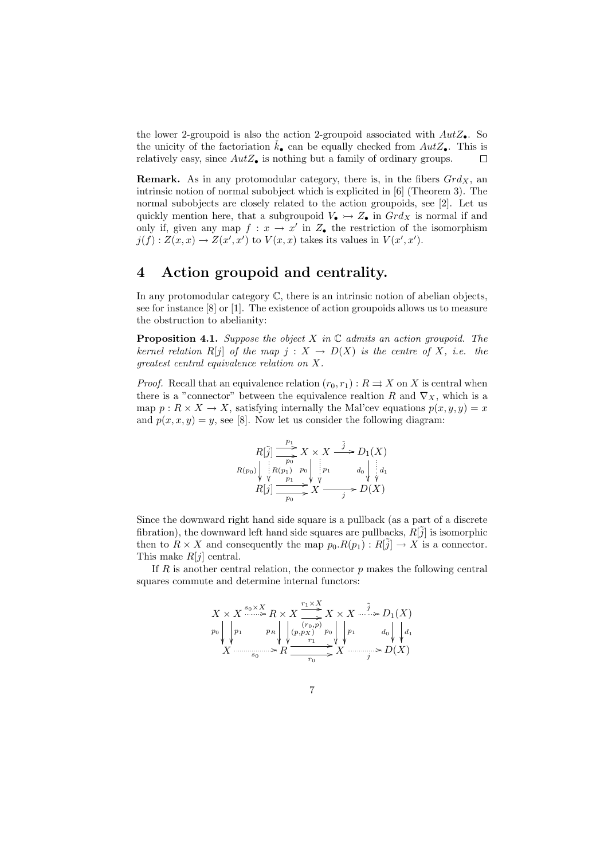the lower 2-groupoid is also the action 2-groupoid associated with  $AutZ_{\bullet}$ . So the unicity of the factoriation  $k_{\bullet}$  can be equally checked from  $AutZ_{\bullet}$ . This is relatively easy, since  $AutZ_{\bullet}$  is nothing but a family of ordinary groups. П

**Remark.** As in any protomodular category, there is, in the fibers  $Grd_X$ , an intrinsic notion of normal subobject which is explicited in [6] (Theorem 3). The normal subobjects are closely related to the action groupoids, see [2]. Let us quickly mention here, that a subgroupoid  $V_{\bullet} \rightarrow Z_{\bullet}$  in  $Grd_X$  is normal if and only if, given any map  $f: x \to x'$  in  $Z_{\bullet}$  the restriction of the isomorphism  $j(f): Z(x, x) \to Z(x', x')$  to  $V(x, x)$  takes its values in  $V(x', x')$ .

### 4 Action groupoid and centrality.

In any protomodular category  $\mathbb{C}$ , there is an intrinsic notion of abelian objects, see for instance [8] or [1]. The existence of action groupoids allows us to measure the obstruction to abelianity:

**Proposition 4.1.** Suppose the object X in  $\mathbb C$  admits an action groupoid. The kernel relation R[j] of the map  $j : X \to D(X)$  is the centre of X, i.e. the greatest central equivalence relation on X.

*Proof.* Recall that an equivalence relation  $(r_0, r_1) : R \rightrightarrows X$  on X is central when there is a "connector" between the equivalence realtion R and  $\nabla_X$ , which is a map  $p: R \times X \to X$ , satisfying internally the Mal'cev equations  $p(x, y, y) = x$ and  $p(x, x, y) = y$ , see [8]. Now let us consider the following diagram:

$$
R[\tilde{j}] \xrightarrow[p_0]{p_1} X \times X \xrightarrow{\tilde{j}} D_1(X)
$$
  
\n
$$
R(p_0) \downarrow \downarrow R(p_1) \downarrow p_0 \downarrow \downarrow p_1 \qquad d_0 \downarrow \downarrow d_1
$$
  
\n
$$
R[j] \xrightarrow[p_0]{p_0} X \xrightarrow{\tilde{j}} D(X)
$$

Since the downward right hand side square is a pullback (as a part of a discrete fibration), the downward left hand side squares are pullbacks,  $R[\tilde{j}]$  is isomorphic then to  $R \times X$  and consequently the map  $p_0.R(p_1): R[\tilde{j}] \to X$  is a connector. This make  $R[i]$  central.

If  $R$  is another central relation, the connector  $p$  makes the following central squares commute and determine internal functors:

$$
X \times X \xrightarrow{s_0 \times X} R \times X \xrightarrow{r_1 \times X} X \times X \xrightarrow{\tilde{j}} D_1(X)
$$
  
\n
$$
p_0 \downarrow p_1 \qquad p_R \downarrow \qquad (r_0, p_X) \qquad p_0 \downarrow p_1 \qquad d_0 \downarrow d_1
$$
  
\n
$$
X \xrightarrow{s_0 \times X} R \xrightarrow{r_1} X \xrightarrow{r_0} X \xrightarrow{r_1} D(X)
$$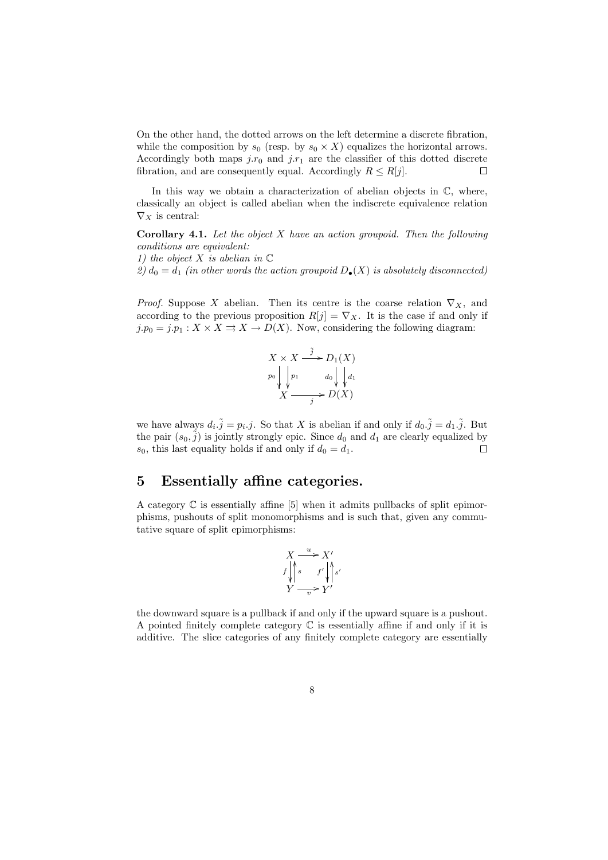On the other hand, the dotted arrows on the left determine a discrete fibration, while the composition by  $s_0$  (resp. by  $s_0 \times X$ ) equalizes the horizontal arrows. Accordingly both maps  $j.r_0$  and  $j.r_1$  are the classifier of this dotted discrete fibration, and are consequently equal. Accordingly  $R \leq R[j]$ .  $\Box$ 

In this way we obtain a characterization of abelian objects in  $\mathbb{C}$ , where, classically an object is called abelian when the indiscrete equivalence relation  $\nabla_X$  is central:

**Corollary 4.1.** Let the object  $X$  have an action groupoid. Then the following conditions are equivalent:

1) the object X is abelian in  $\mathbb C$ 

2)  $d_0 = d_1$  (in other words the action groupoid  $D_{\bullet}(X)$  is absolutely disconnected)

*Proof.* Suppose X abelian. Then its centre is the coarse relation  $\nabla_X$ , and according to the previous proposition  $R[j] = \nabla_X$ . It is the case if and only if  $j.p_0 = j.p_1 : X \times X \rightrightarrows X \to D(X)$ . Now, considering the following diagram:



we have always  $d_i \tilde{j} = p_i \cdot j$ . So that X is abelian if and only if  $d_0 \tilde{j} = d_1 \tilde{j}$ . But the pair  $(s_0, \tilde{j})$  is jointly strongly epic. Since  $d_0$  and  $d_1$  are clearly equalized by  $s_0$ , this last equality holds if and only if  $d_0 = d_1$ . П

### 5 Essentially affine categories.

A category  $\mathbb C$  is essentially affine [5] when it admits pullbacks of split epimorphisms, pushouts of split monomorphisms and is such that, given any commutative square of split epimorphisms:

$$
X \xrightarrow{u} X'
$$
  

$$
f \downarrow s
$$
  

$$
f \downarrow s'
$$
  

$$
Y \xrightarrow{v} Y'
$$

the downward square is a pullback if and only if the upward square is a pushout. A pointed finitely complete category  $\mathbb C$  is essentially affine if and only if it is additive. The slice categories of any finitely complete category are essentially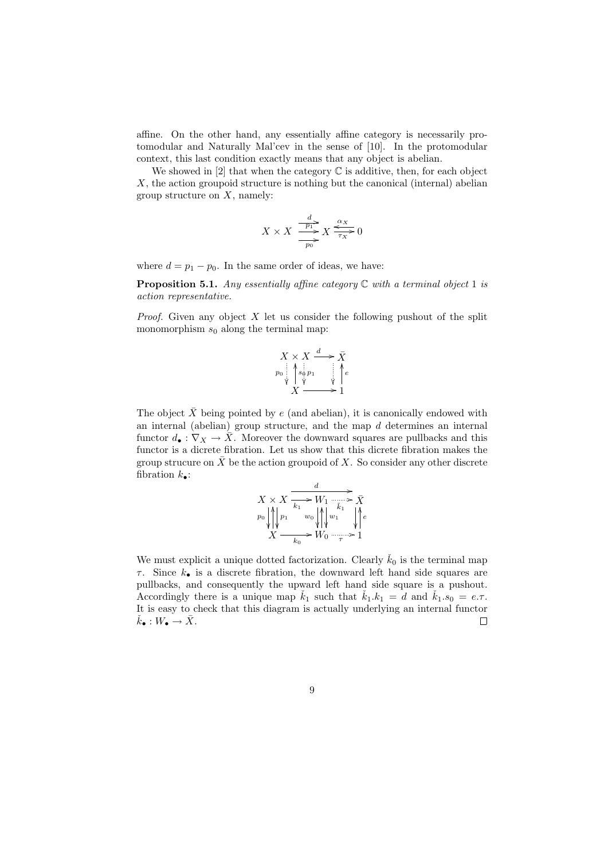affine. On the other hand, any essentially affine category is necessarily protomodular and Naturally Mal'cev in the sense of [10]. In the protomodular context, this last condition exactly means that any object is abelian.

We showed in [2] that when the category  $\mathbb C$  is additive, then, for each object  $X$ , the action groupoid structure is nothing but the canonical (internal) abelian group structure on  $X$ , namely:

$$
X \times X \xrightarrow{\frac{d}{p_1} X} X \xrightarrow{\alpha_X} 0
$$

where  $d = p_1 - p_0$ . In the same order of ideas, we have:

**Proposition 5.1.** Any essentially affine category  $\mathbb C$  with a terminal object 1 is action representative.

*Proof.* Given any object  $X$  let us consider the following pushout of the split monomorphism  $s_0$  along the terminal map:



The object  $\bar{X}$  being pointed by e (and abelian), it is canonically endowed with an internal (abelian) group structure, and the map d determines an internal functor  $d_{\bullet}: \nabla_X \to \overline{X}$ . Moreover the downward squares are pullbacks and this functor is a dicrete fibration. Let us show that this dicrete fibration makes the group strucure on  $\bar{X}$  be the action groupoid of X. So consider any other discrete fibration  $k_{\bullet}$ :

$$
\begin{array}{c}\nX \times X \xrightarrow[k_1 \to \infty]{} \overrightarrow{K_1} \xrightarrow[k_1 \to \infty]{} \overrightarrow{X}\\
p_0 \left| \bigwedge_{i=1}^{k_1} p_1 \xrightarrow{w_0} \bigwedge_{i=1}^{k_1} w_1 \right| \xleftarrow{k_1} \bigwedge_{i=1}^{k_1} e \\
X \xrightarrow[k_0 \to \infty]{} \overrightarrow{K_0} \xrightarrow[\tau \to \infty]{}\end{array}
$$

We must explicit a unique dotted factorization. Clearly  $\check{k}_0$  is the terminal map  $\tau$ . Since  $k_{\bullet}$  is a discrete fibration, the downward left hand side squares are pullbacks, and consequently the upward left hand side square is a pushout. Accordingly there is a unique map  $\dot{k}_1$  such that  $\dot{k}_1.k_1 = d$  and  $\dot{k}_1.s_0 = e.\tau$ . It is easy to check that this diagram is actually underlying an internal functor  $\check{k}_{\bullet}: W_{\bullet} \to \bar{X}.$  $\Box$